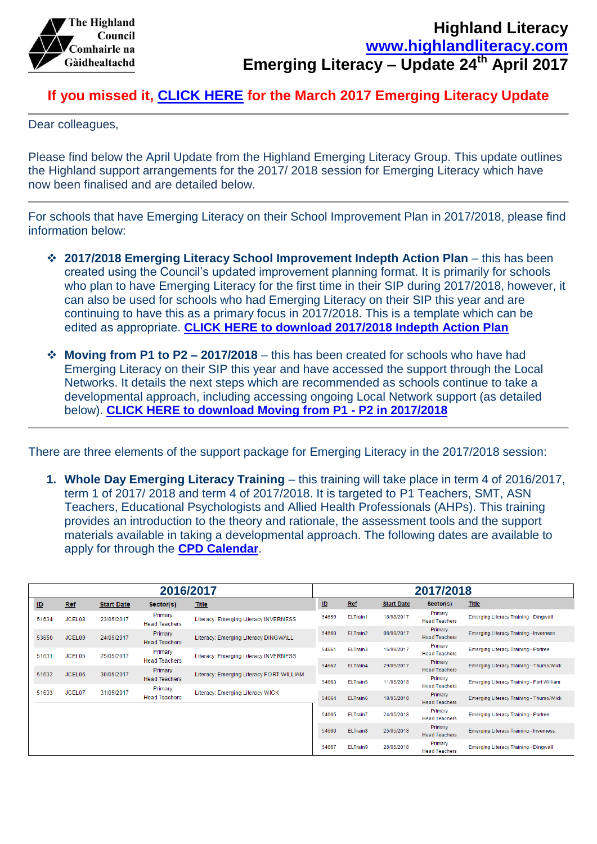

## **If you missed it, [CLICK HERE](https://highlandliteracy.files.wordpress.com/2017/03/emerging-literacy-march17-update.pdf) for the March 2017 Emerging Literacy Update**

Dear colleagues,

Please find below the April Update from the Highland Emerging Literacy Group. This update outlines the Highland support arrangements for the 2017/ 2018 session for Emerging Literacy which have now been finalised and are detailed below.

For schools that have Emerging Literacy on their School Improvement Plan in 2017/2018, please find information below:

- **2017/2018 Emerging Literacy School Improvement Indepth Action Plan** this has been created using the Council's updated improvement planning format. It is primarily for schools who plan to have Emerging Literacy for the first time in their SIP during 2017/2018, however, it can also be used for schools who had Emerging Literacy on their SIP this year and are continuing to have this as a primary focus in 2017/2018. This is a template which can be edited as appropriate. **[CLICK HERE to download 2017/2018 Indepth Action Plan](https://highlandliteracy.files.wordpress.com/2017/04/emerging-literacy-sip-for-schools-2017_2018.docx)**
- **Moving from P1 to P2 – 2017/2018** this has been created for schools who have had Emerging Literacy on their SIP this year and have accessed the support through the Local Networks. It details the next steps which are recommended as schools continue to take a developmental approach, including accessing ongoing Local Network support (as detailed below). **[CLICK HERE to download Moving from P1 -](https://highlandliteracy.files.wordpress.com/2017/04/emerging-literacy-p1-p2-2017_2018.pdf) P2 in 2017/2018**

There are three elements of the support package for Emerging Literacy in the 2017/2018 session:

**1. Whole Day Emerging Literacy Training** – this training will take place in term 4 of 2016/2017, term 1 of 2017/ 2018 and term 4 of 2017/2018. It is targeted to P1 Teachers, SMT, ASN Teachers, Educational Psychologists and Allied Health Professionals (AHPs). This training provides an introduction to the theory and rationale, the assessment tools and the support materials available in taking a developmental approach. The following dates are available to apply for through the **[CPD Calendar](http://highland.cpdservice.net/)**.

| 2016/2017 |                    |                   |                                 |                                          | 2017/2018 |            |                                 |                                               |                                                  |  |  |
|-----------|--------------------|-------------------|---------------------------------|------------------------------------------|-----------|------------|---------------------------------|-----------------------------------------------|--------------------------------------------------|--|--|
| ID        | <b>Ref</b>         | <b>Start Date</b> | Sector(s)                       | Title                                    | <u>ID</u> | Ref        | <b>Start Date</b>               | Sector(s)                                     | Title                                            |  |  |
| 51634     | JCEL08             | 23/05/2017        | Primary<br><b>Head Teachers</b> | Literacy: Emerging Literacy INVERNESS    | 54659     | ELTrain1   | 18/08/2017                      | Primary<br><b>Head Teachers</b>               | <b>Emerging Literacy Training - Dingwall</b>     |  |  |
| 53650     | JCEL09             | 24/05/2017        | Primary<br><b>Head Teachers</b> | Literacy: Emerging Literacy DINGWALL     | 54660     | ELTrain2   | 08/09/2017                      | Primary<br><b>Head Teachers</b>               | <b>Emerging Literacy Training - Inverness</b>    |  |  |
| 51631     | JCEL05             | 25/05/2017        | Primary                         | Literacy: Emerging Literacy INVERNESS    | 54661     | ELTrain3   | 15/09/2017                      | Primary<br><b>Head Teachers</b>               | <b>Emerging Literacy Training - Portree</b>      |  |  |
| 51632     | JCEL06             | 30/05/2017        | <b>Head Teachers</b><br>Primary | Literacy: Emerging Literacy FORT WILLIAM | 54662     | ELTrain4   | 29/09/2017                      | Primary<br><b>Head Teachers</b>               | <b>Emerging Literacy Training - Thurso/Wick</b>  |  |  |
|           |                    |                   | <b>Head Teachers</b><br>Primary |                                          | 54663     | ELTrain5   | 11/05/2018                      | Primary<br><b>Head Teachers</b>               | <b>Emerging Literacy Training - Fort William</b> |  |  |
| 51633     | JCEL <sub>07</sub> | 31/05/2017        | <b>Head Teachers</b>            | Literacy: Emerging Literacy WICK         | 54664     | ELTrain6   | 18/05/2018                      | Primary<br><b>Head Teachers</b>               | <b>Emerging Literacy Training - Thurso/Wick</b>  |  |  |
|           |                    |                   |                                 |                                          | 54665     | ELTrain7   | 24/05/2018                      | Primary<br><b>Head Teachers</b>               | <b>Emerging Literacy Training - Portree</b>      |  |  |
|           |                    |                   |                                 | 54666                                    | ELTrain8  | 25/05/2018 | Primary<br><b>Head Teachers</b> | <b>Emerging Literacy Training - Inverness</b> |                                                  |  |  |
|           |                    |                   |                                 |                                          | 54667     | ELTrain9   | 28/05/2018                      | Primary<br><b>Head Teachers</b>               | <b>Emerging Literacy Training - Dingwall</b>     |  |  |